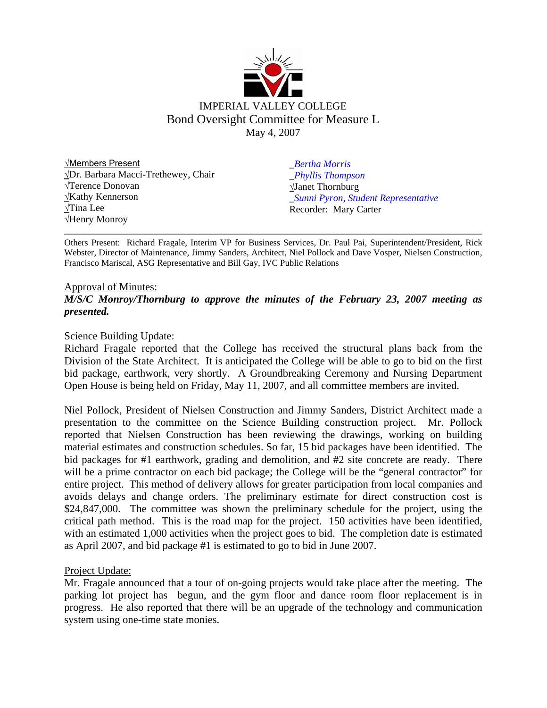

√Members Present √Dr. Barbara Macci-Trethewey, Chair √Terence Donovan √Kathy Kennerson √Tina Lee √Henry Monroy

*\_Bertha Morris \_Phyllis Thompson*  √Janet Thornburg \_*Sunni Pyron, Student Representative* Recorder: Mary Carter

Others Present: Richard Fragale, Interim VP for Business Services, Dr. Paul Pai, Superintendent/President, Rick Webster, Director of Maintenance, Jimmy Sanders, Architect, Niel Pollock and Dave Vosper, Nielsen Construction, Francisco Mariscal, ASG Representative and Bill Gay, IVC Public Relations

#### Approval of Minutes: *M/S/C Monroy/Thornburg to approve the minutes of the February 23, 2007 meeting as presented.*

#### Science Building Update:

Richard Fragale reported that the College has received the structural plans back from the Division of the State Architect. It is anticipated the College will be able to go to bid on the first bid package, earthwork, very shortly. A Groundbreaking Ceremony and Nursing Department Open House is being held on Friday, May 11, 2007, and all committee members are invited.

Niel Pollock, President of Nielsen Construction and Jimmy Sanders, District Architect made a presentation to the committee on the Science Building construction project. Mr. Pollock reported that Nielsen Construction has been reviewing the drawings, working on building material estimates and construction schedules. So far, 15 bid packages have been identified. The bid packages for #1 earthwork, grading and demolition, and #2 site concrete are ready. There will be a prime contractor on each bid package; the College will be the "general contractor" for entire project. This method of delivery allows for greater participation from local companies and avoids delays and change orders. The preliminary estimate for direct construction cost is \$24,847,000. The committee was shown the preliminary schedule for the project, using the critical path method. This is the road map for the project. 150 activities have been identified, with an estimated 1,000 activities when the project goes to bid. The completion date is estimated as April 2007, and bid package #1 is estimated to go to bid in June 2007.

#### Project Update:

Mr. Fragale announced that a tour of on-going projects would take place after the meeting. The parking lot project has begun, and the gym floor and dance room floor replacement is in progress. He also reported that there will be an upgrade of the technology and communication system using one-time state monies.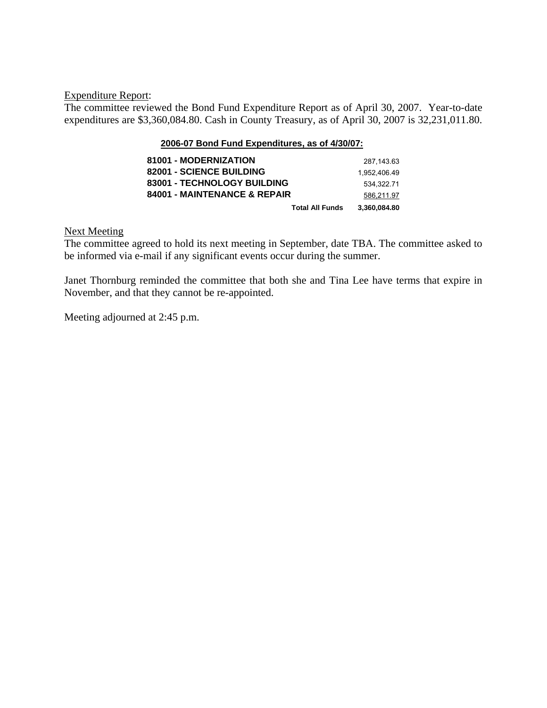#### Expenditure Report:

The committee reviewed the Bond Fund Expenditure Report as of April 30, 2007. Year-to-date expenditures are \$3,360,084.80. Cash in County Treasury, as of April 30, 2007 is 32,231,011.80.

#### **2006-07 Bond Fund Expenditures, as of 4/30/07:**

| 81001 - MODERNIZATION        | 287.143.63   |
|------------------------------|--------------|
| 82001 - SCIENCE BUILDING     | 1.952.406.49 |
| 83001 - TECHNOLOGY BUILDING  | 534.322.71   |
| 84001 - MAINTENANCE & REPAIR | 586,211.97   |
| <b>Total All Funds</b>       | 3.360.084.80 |

#### Next Meeting

The committee agreed to hold its next meeting in September, date TBA. The committee asked to be informed via e-mail if any significant events occur during the summer.

Janet Thornburg reminded the committee that both she and Tina Lee have terms that expire in November, and that they cannot be re-appointed.

Meeting adjourned at 2:45 p.m.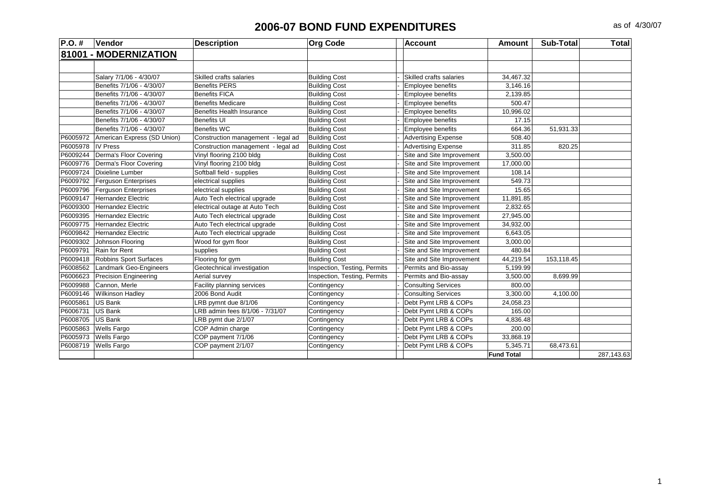| 81001 - MODERNIZATION<br>Salary 7/1/06 - 4/30/07<br><b>Building Cost</b><br>Skilled crafts salaries<br>Skilled crafts salaries<br>34,467.32<br>Benefits 7/1/06 - 4/30/07<br><b>Benefits PERS</b><br><b>Building Cost</b><br><b>Employee benefits</b><br>3,146.16<br>Benefits 7/1/06 - 4/30/07<br><b>Benefits FICA</b><br><b>Building Cost</b><br>Employee benefits<br>2,139.85<br><b>Building Cost</b><br>500.47<br>Benefits 7/1/06 - 4/30/07<br><b>Benefits Medicare</b><br><b>Employee benefits</b><br>10,996.02<br>Benefits 7/1/06 - 4/30/07<br><b>Benefits Health Insurance</b><br><b>Building Cost</b><br>Employee benefits<br>Benefits 7/1/06 - 4/30/07<br><b>Benefits UI</b><br><b>Building Cost</b><br><b>Employee benefits</b><br>17.15<br>Benefits 7/1/06 - 4/30/07<br><b>Benefits WC</b><br><b>Building Cost</b><br>Employee benefits<br>664.36<br>51,931.33<br>P6005972<br>American Express (SD Union)<br>Construction management - legal ad<br><b>Building Cost</b><br><b>Advertising Expense</b><br>508.40<br>P6005978<br><b>Advertising Expense</b><br><b>IV Press</b><br>Construction management - legal ad<br><b>Building Cost</b><br>311.85<br>820.25<br>Derma's Floor Covering<br>P6009244<br>Vinyl flooring 2100 bldg<br>Site and Site Improvement<br>3,500.00<br><b>Building Cost</b><br>P6009776<br>Derma's Floor Covering<br>Site and Site Improvement<br>Vinyl flooring 2100 bldg<br><b>Building Cost</b><br>17,000.00<br>P6009724<br>Dixieline Lumber<br>Softball field - supplies<br>Site and Site Improvement<br>108.14<br><b>Building Cost</b><br>P6009792<br><b>Ferguson Enterprises</b><br>Site and Site Improvement<br>electrical supplies<br><b>Building Cost</b><br>549.73<br>P6009796<br>Site and Site Improvement<br>15.65<br><b>Ferguson Enterprises</b><br>electrical supplies<br><b>Building Cost</b><br>P6009147<br>Auto Tech electrical upgrade<br>Site and Site Improvement<br><b>Hernandez Electric</b><br><b>Building Cost</b><br>11,891.85<br>P6009300<br>Site and Site Improvement<br>2,832.65<br><b>Hernandez Electric</b><br>electrical outage at Auto Tech<br><b>Building Cost</b><br>P6009395<br><b>Hernandez Electric</b><br>Auto Tech electrical upgrade<br><b>Building Cost</b><br>Site and Site Improvement<br>27,945.00<br>P6009775<br>Auto Tech electrical upgrade<br>Site and Site Improvement<br>34.932.00<br>Hernandez Electric<br><b>Building Cost</b><br>P6009842<br>Auto Tech electrical upgrade<br>Site and Site Improvement<br>6,643.05<br>Hernandez Electric<br><b>Building Cost</b><br>P6009302<br>Site and Site Improvement<br>Johnson Flooring<br>Wood for gym floor<br><b>Building Cost</b><br>3.000.00<br>P6009791<br>Site and Site Improvement<br>480.84<br>Rain for Rent<br>supplies<br><b>Building Cost</b><br>P6009418<br>Robbins Sport Surfaces<br>Flooring for gym<br>Site and Site Improvement<br>44,219.54<br>153,118.45<br><b>Building Cost</b><br>P6008562<br>Geotechnical investigation<br>Inspection, Testing, Permits<br>Landmark Geo-Engineers<br>Permits and Bio-assay<br>5,199.99<br>P6006623<br>Precision Engineering<br>Aerial survey<br>Permits and Bio-assay<br>Inspection, Testing, Permits<br>3,500.00<br>8,699.99<br>P6009988<br>Cannon, Merle<br>Facility planning services<br><b>Consulting Services</b><br>800.00<br>Contingency<br>P6009146<br><b>Wilkinson Hadley</b><br>2006 Bond Audit<br><b>Consulting Services</b><br>3,300.00<br>4,100.00<br>Contingency<br>P6005861<br>US Bank<br>LRB pymnt due 8/1/06<br>Debt Pymt LRB & COPs<br>24,058.23<br>Contingency<br>P6006731<br>US Bank<br>LRB admin fees 8/1/06 - 7/31/07<br>Debt Pymt LRB & COPs<br>165.00<br>Contingency<br>P6008705<br><b>US Bank</b><br>LRB pymt due 2/1/07<br>Debt Pymt LRB & COPs<br>4,836.48<br>Contingency<br>P6005863<br><b>Wells Fargo</b><br>COP Admin charge<br>Debt Pymt LRB & COPs<br>200.00<br>Contingency<br>P6005973<br>COP payment 7/1/06<br>Debt Pymt LRB & COPs<br><b>Wells Fargo</b><br>Contingency<br>33,868.19<br>P6008719<br>COP payment 2/1/07<br>Debt Pymt LRB & COPs<br>5,345.71<br><b>Wells Fargo</b><br>Contingency<br>68,473.61 | $P.O.$ # | Vendor | <b>Description</b> | <b>Org Code</b> | <b>Account</b> | <b>Amount</b>     | <b>Sub-Total</b> | <b>Total</b> |
|---------------------------------------------------------------------------------------------------------------------------------------------------------------------------------------------------------------------------------------------------------------------------------------------------------------------------------------------------------------------------------------------------------------------------------------------------------------------------------------------------------------------------------------------------------------------------------------------------------------------------------------------------------------------------------------------------------------------------------------------------------------------------------------------------------------------------------------------------------------------------------------------------------------------------------------------------------------------------------------------------------------------------------------------------------------------------------------------------------------------------------------------------------------------------------------------------------------------------------------------------------------------------------------------------------------------------------------------------------------------------------------------------------------------------------------------------------------------------------------------------------------------------------------------------------------------------------------------------------------------------------------------------------------------------------------------------------------------------------------------------------------------------------------------------------------------------------------------------------------------------------------------------------------------------------------------------------------------------------------------------------------------------------------------------------------------------------------------------------------------------------------------------------------------------------------------------------------------------------------------------------------------------------------------------------------------------------------------------------------------------------------------------------------------------------------------------------------------------------------------------------------------------------------------------------------------------------------------------------------------------------------------------------------------------------------------------------------------------------------------------------------------------------------------------------------------------------------------------------------------------------------------------------------------------------------------------------------------------------------------------------------------------------------------------------------------------------------------------------------------------------------------------------------------------------------------------------------------------------------------------------------------------------------------------------------------------------------------------------------------------------------------------------------------------------------------------------------------------------------------------------------------------------------------------------------------------------------------------------------------------------------------------------------------------------------------------------------------------------------------------------------------------------------------------------------------------------------------------------------------------------------------------------------------------------------------------------------------------------------------------------------------------------------------------------------------------------------------------------------------------------|----------|--------|--------------------|-----------------|----------------|-------------------|------------------|--------------|
|                                                                                                                                                                                                                                                                                                                                                                                                                                                                                                                                                                                                                                                                                                                                                                                                                                                                                                                                                                                                                                                                                                                                                                                                                                                                                                                                                                                                                                                                                                                                                                                                                                                                                                                                                                                                                                                                                                                                                                                                                                                                                                                                                                                                                                                                                                                                                                                                                                                                                                                                                                                                                                                                                                                                                                                                                                                                                                                                                                                                                                                                                                                                                                                                                                                                                                                                                                                                                                                                                                                                                                                                                                                                                                                                                                                                                                                                                                                                                                                                                                                                                                                                 |          |        |                    |                 |                |                   |                  |              |
|                                                                                                                                                                                                                                                                                                                                                                                                                                                                                                                                                                                                                                                                                                                                                                                                                                                                                                                                                                                                                                                                                                                                                                                                                                                                                                                                                                                                                                                                                                                                                                                                                                                                                                                                                                                                                                                                                                                                                                                                                                                                                                                                                                                                                                                                                                                                                                                                                                                                                                                                                                                                                                                                                                                                                                                                                                                                                                                                                                                                                                                                                                                                                                                                                                                                                                                                                                                                                                                                                                                                                                                                                                                                                                                                                                                                                                                                                                                                                                                                                                                                                                                                 |          |        |                    |                 |                |                   |                  |              |
|                                                                                                                                                                                                                                                                                                                                                                                                                                                                                                                                                                                                                                                                                                                                                                                                                                                                                                                                                                                                                                                                                                                                                                                                                                                                                                                                                                                                                                                                                                                                                                                                                                                                                                                                                                                                                                                                                                                                                                                                                                                                                                                                                                                                                                                                                                                                                                                                                                                                                                                                                                                                                                                                                                                                                                                                                                                                                                                                                                                                                                                                                                                                                                                                                                                                                                                                                                                                                                                                                                                                                                                                                                                                                                                                                                                                                                                                                                                                                                                                                                                                                                                                 |          |        |                    |                 |                |                   |                  |              |
|                                                                                                                                                                                                                                                                                                                                                                                                                                                                                                                                                                                                                                                                                                                                                                                                                                                                                                                                                                                                                                                                                                                                                                                                                                                                                                                                                                                                                                                                                                                                                                                                                                                                                                                                                                                                                                                                                                                                                                                                                                                                                                                                                                                                                                                                                                                                                                                                                                                                                                                                                                                                                                                                                                                                                                                                                                                                                                                                                                                                                                                                                                                                                                                                                                                                                                                                                                                                                                                                                                                                                                                                                                                                                                                                                                                                                                                                                                                                                                                                                                                                                                                                 |          |        |                    |                 |                |                   |                  |              |
|                                                                                                                                                                                                                                                                                                                                                                                                                                                                                                                                                                                                                                                                                                                                                                                                                                                                                                                                                                                                                                                                                                                                                                                                                                                                                                                                                                                                                                                                                                                                                                                                                                                                                                                                                                                                                                                                                                                                                                                                                                                                                                                                                                                                                                                                                                                                                                                                                                                                                                                                                                                                                                                                                                                                                                                                                                                                                                                                                                                                                                                                                                                                                                                                                                                                                                                                                                                                                                                                                                                                                                                                                                                                                                                                                                                                                                                                                                                                                                                                                                                                                                                                 |          |        |                    |                 |                |                   |                  |              |
|                                                                                                                                                                                                                                                                                                                                                                                                                                                                                                                                                                                                                                                                                                                                                                                                                                                                                                                                                                                                                                                                                                                                                                                                                                                                                                                                                                                                                                                                                                                                                                                                                                                                                                                                                                                                                                                                                                                                                                                                                                                                                                                                                                                                                                                                                                                                                                                                                                                                                                                                                                                                                                                                                                                                                                                                                                                                                                                                                                                                                                                                                                                                                                                                                                                                                                                                                                                                                                                                                                                                                                                                                                                                                                                                                                                                                                                                                                                                                                                                                                                                                                                                 |          |        |                    |                 |                |                   |                  |              |
|                                                                                                                                                                                                                                                                                                                                                                                                                                                                                                                                                                                                                                                                                                                                                                                                                                                                                                                                                                                                                                                                                                                                                                                                                                                                                                                                                                                                                                                                                                                                                                                                                                                                                                                                                                                                                                                                                                                                                                                                                                                                                                                                                                                                                                                                                                                                                                                                                                                                                                                                                                                                                                                                                                                                                                                                                                                                                                                                                                                                                                                                                                                                                                                                                                                                                                                                                                                                                                                                                                                                                                                                                                                                                                                                                                                                                                                                                                                                                                                                                                                                                                                                 |          |        |                    |                 |                |                   |                  |              |
|                                                                                                                                                                                                                                                                                                                                                                                                                                                                                                                                                                                                                                                                                                                                                                                                                                                                                                                                                                                                                                                                                                                                                                                                                                                                                                                                                                                                                                                                                                                                                                                                                                                                                                                                                                                                                                                                                                                                                                                                                                                                                                                                                                                                                                                                                                                                                                                                                                                                                                                                                                                                                                                                                                                                                                                                                                                                                                                                                                                                                                                                                                                                                                                                                                                                                                                                                                                                                                                                                                                                                                                                                                                                                                                                                                                                                                                                                                                                                                                                                                                                                                                                 |          |        |                    |                 |                |                   |                  |              |
|                                                                                                                                                                                                                                                                                                                                                                                                                                                                                                                                                                                                                                                                                                                                                                                                                                                                                                                                                                                                                                                                                                                                                                                                                                                                                                                                                                                                                                                                                                                                                                                                                                                                                                                                                                                                                                                                                                                                                                                                                                                                                                                                                                                                                                                                                                                                                                                                                                                                                                                                                                                                                                                                                                                                                                                                                                                                                                                                                                                                                                                                                                                                                                                                                                                                                                                                                                                                                                                                                                                                                                                                                                                                                                                                                                                                                                                                                                                                                                                                                                                                                                                                 |          |        |                    |                 |                |                   |                  |              |
|                                                                                                                                                                                                                                                                                                                                                                                                                                                                                                                                                                                                                                                                                                                                                                                                                                                                                                                                                                                                                                                                                                                                                                                                                                                                                                                                                                                                                                                                                                                                                                                                                                                                                                                                                                                                                                                                                                                                                                                                                                                                                                                                                                                                                                                                                                                                                                                                                                                                                                                                                                                                                                                                                                                                                                                                                                                                                                                                                                                                                                                                                                                                                                                                                                                                                                                                                                                                                                                                                                                                                                                                                                                                                                                                                                                                                                                                                                                                                                                                                                                                                                                                 |          |        |                    |                 |                |                   |                  |              |
|                                                                                                                                                                                                                                                                                                                                                                                                                                                                                                                                                                                                                                                                                                                                                                                                                                                                                                                                                                                                                                                                                                                                                                                                                                                                                                                                                                                                                                                                                                                                                                                                                                                                                                                                                                                                                                                                                                                                                                                                                                                                                                                                                                                                                                                                                                                                                                                                                                                                                                                                                                                                                                                                                                                                                                                                                                                                                                                                                                                                                                                                                                                                                                                                                                                                                                                                                                                                                                                                                                                                                                                                                                                                                                                                                                                                                                                                                                                                                                                                                                                                                                                                 |          |        |                    |                 |                |                   |                  |              |
|                                                                                                                                                                                                                                                                                                                                                                                                                                                                                                                                                                                                                                                                                                                                                                                                                                                                                                                                                                                                                                                                                                                                                                                                                                                                                                                                                                                                                                                                                                                                                                                                                                                                                                                                                                                                                                                                                                                                                                                                                                                                                                                                                                                                                                                                                                                                                                                                                                                                                                                                                                                                                                                                                                                                                                                                                                                                                                                                                                                                                                                                                                                                                                                                                                                                                                                                                                                                                                                                                                                                                                                                                                                                                                                                                                                                                                                                                                                                                                                                                                                                                                                                 |          |        |                    |                 |                |                   |                  |              |
|                                                                                                                                                                                                                                                                                                                                                                                                                                                                                                                                                                                                                                                                                                                                                                                                                                                                                                                                                                                                                                                                                                                                                                                                                                                                                                                                                                                                                                                                                                                                                                                                                                                                                                                                                                                                                                                                                                                                                                                                                                                                                                                                                                                                                                                                                                                                                                                                                                                                                                                                                                                                                                                                                                                                                                                                                                                                                                                                                                                                                                                                                                                                                                                                                                                                                                                                                                                                                                                                                                                                                                                                                                                                                                                                                                                                                                                                                                                                                                                                                                                                                                                                 |          |        |                    |                 |                |                   |                  |              |
|                                                                                                                                                                                                                                                                                                                                                                                                                                                                                                                                                                                                                                                                                                                                                                                                                                                                                                                                                                                                                                                                                                                                                                                                                                                                                                                                                                                                                                                                                                                                                                                                                                                                                                                                                                                                                                                                                                                                                                                                                                                                                                                                                                                                                                                                                                                                                                                                                                                                                                                                                                                                                                                                                                                                                                                                                                                                                                                                                                                                                                                                                                                                                                                                                                                                                                                                                                                                                                                                                                                                                                                                                                                                                                                                                                                                                                                                                                                                                                                                                                                                                                                                 |          |        |                    |                 |                |                   |                  |              |
|                                                                                                                                                                                                                                                                                                                                                                                                                                                                                                                                                                                                                                                                                                                                                                                                                                                                                                                                                                                                                                                                                                                                                                                                                                                                                                                                                                                                                                                                                                                                                                                                                                                                                                                                                                                                                                                                                                                                                                                                                                                                                                                                                                                                                                                                                                                                                                                                                                                                                                                                                                                                                                                                                                                                                                                                                                                                                                                                                                                                                                                                                                                                                                                                                                                                                                                                                                                                                                                                                                                                                                                                                                                                                                                                                                                                                                                                                                                                                                                                                                                                                                                                 |          |        |                    |                 |                |                   |                  |              |
|                                                                                                                                                                                                                                                                                                                                                                                                                                                                                                                                                                                                                                                                                                                                                                                                                                                                                                                                                                                                                                                                                                                                                                                                                                                                                                                                                                                                                                                                                                                                                                                                                                                                                                                                                                                                                                                                                                                                                                                                                                                                                                                                                                                                                                                                                                                                                                                                                                                                                                                                                                                                                                                                                                                                                                                                                                                                                                                                                                                                                                                                                                                                                                                                                                                                                                                                                                                                                                                                                                                                                                                                                                                                                                                                                                                                                                                                                                                                                                                                                                                                                                                                 |          |        |                    |                 |                |                   |                  |              |
|                                                                                                                                                                                                                                                                                                                                                                                                                                                                                                                                                                                                                                                                                                                                                                                                                                                                                                                                                                                                                                                                                                                                                                                                                                                                                                                                                                                                                                                                                                                                                                                                                                                                                                                                                                                                                                                                                                                                                                                                                                                                                                                                                                                                                                                                                                                                                                                                                                                                                                                                                                                                                                                                                                                                                                                                                                                                                                                                                                                                                                                                                                                                                                                                                                                                                                                                                                                                                                                                                                                                                                                                                                                                                                                                                                                                                                                                                                                                                                                                                                                                                                                                 |          |        |                    |                 |                |                   |                  |              |
|                                                                                                                                                                                                                                                                                                                                                                                                                                                                                                                                                                                                                                                                                                                                                                                                                                                                                                                                                                                                                                                                                                                                                                                                                                                                                                                                                                                                                                                                                                                                                                                                                                                                                                                                                                                                                                                                                                                                                                                                                                                                                                                                                                                                                                                                                                                                                                                                                                                                                                                                                                                                                                                                                                                                                                                                                                                                                                                                                                                                                                                                                                                                                                                                                                                                                                                                                                                                                                                                                                                                                                                                                                                                                                                                                                                                                                                                                                                                                                                                                                                                                                                                 |          |        |                    |                 |                |                   |                  |              |
|                                                                                                                                                                                                                                                                                                                                                                                                                                                                                                                                                                                                                                                                                                                                                                                                                                                                                                                                                                                                                                                                                                                                                                                                                                                                                                                                                                                                                                                                                                                                                                                                                                                                                                                                                                                                                                                                                                                                                                                                                                                                                                                                                                                                                                                                                                                                                                                                                                                                                                                                                                                                                                                                                                                                                                                                                                                                                                                                                                                                                                                                                                                                                                                                                                                                                                                                                                                                                                                                                                                                                                                                                                                                                                                                                                                                                                                                                                                                                                                                                                                                                                                                 |          |        |                    |                 |                |                   |                  |              |
|                                                                                                                                                                                                                                                                                                                                                                                                                                                                                                                                                                                                                                                                                                                                                                                                                                                                                                                                                                                                                                                                                                                                                                                                                                                                                                                                                                                                                                                                                                                                                                                                                                                                                                                                                                                                                                                                                                                                                                                                                                                                                                                                                                                                                                                                                                                                                                                                                                                                                                                                                                                                                                                                                                                                                                                                                                                                                                                                                                                                                                                                                                                                                                                                                                                                                                                                                                                                                                                                                                                                                                                                                                                                                                                                                                                                                                                                                                                                                                                                                                                                                                                                 |          |        |                    |                 |                |                   |                  |              |
|                                                                                                                                                                                                                                                                                                                                                                                                                                                                                                                                                                                                                                                                                                                                                                                                                                                                                                                                                                                                                                                                                                                                                                                                                                                                                                                                                                                                                                                                                                                                                                                                                                                                                                                                                                                                                                                                                                                                                                                                                                                                                                                                                                                                                                                                                                                                                                                                                                                                                                                                                                                                                                                                                                                                                                                                                                                                                                                                                                                                                                                                                                                                                                                                                                                                                                                                                                                                                                                                                                                                                                                                                                                                                                                                                                                                                                                                                                                                                                                                                                                                                                                                 |          |        |                    |                 |                |                   |                  |              |
|                                                                                                                                                                                                                                                                                                                                                                                                                                                                                                                                                                                                                                                                                                                                                                                                                                                                                                                                                                                                                                                                                                                                                                                                                                                                                                                                                                                                                                                                                                                                                                                                                                                                                                                                                                                                                                                                                                                                                                                                                                                                                                                                                                                                                                                                                                                                                                                                                                                                                                                                                                                                                                                                                                                                                                                                                                                                                                                                                                                                                                                                                                                                                                                                                                                                                                                                                                                                                                                                                                                                                                                                                                                                                                                                                                                                                                                                                                                                                                                                                                                                                                                                 |          |        |                    |                 |                |                   |                  |              |
|                                                                                                                                                                                                                                                                                                                                                                                                                                                                                                                                                                                                                                                                                                                                                                                                                                                                                                                                                                                                                                                                                                                                                                                                                                                                                                                                                                                                                                                                                                                                                                                                                                                                                                                                                                                                                                                                                                                                                                                                                                                                                                                                                                                                                                                                                                                                                                                                                                                                                                                                                                                                                                                                                                                                                                                                                                                                                                                                                                                                                                                                                                                                                                                                                                                                                                                                                                                                                                                                                                                                                                                                                                                                                                                                                                                                                                                                                                                                                                                                                                                                                                                                 |          |        |                    |                 |                |                   |                  |              |
|                                                                                                                                                                                                                                                                                                                                                                                                                                                                                                                                                                                                                                                                                                                                                                                                                                                                                                                                                                                                                                                                                                                                                                                                                                                                                                                                                                                                                                                                                                                                                                                                                                                                                                                                                                                                                                                                                                                                                                                                                                                                                                                                                                                                                                                                                                                                                                                                                                                                                                                                                                                                                                                                                                                                                                                                                                                                                                                                                                                                                                                                                                                                                                                                                                                                                                                                                                                                                                                                                                                                                                                                                                                                                                                                                                                                                                                                                                                                                                                                                                                                                                                                 |          |        |                    |                 |                |                   |                  |              |
|                                                                                                                                                                                                                                                                                                                                                                                                                                                                                                                                                                                                                                                                                                                                                                                                                                                                                                                                                                                                                                                                                                                                                                                                                                                                                                                                                                                                                                                                                                                                                                                                                                                                                                                                                                                                                                                                                                                                                                                                                                                                                                                                                                                                                                                                                                                                                                                                                                                                                                                                                                                                                                                                                                                                                                                                                                                                                                                                                                                                                                                                                                                                                                                                                                                                                                                                                                                                                                                                                                                                                                                                                                                                                                                                                                                                                                                                                                                                                                                                                                                                                                                                 |          |        |                    |                 |                |                   |                  |              |
|                                                                                                                                                                                                                                                                                                                                                                                                                                                                                                                                                                                                                                                                                                                                                                                                                                                                                                                                                                                                                                                                                                                                                                                                                                                                                                                                                                                                                                                                                                                                                                                                                                                                                                                                                                                                                                                                                                                                                                                                                                                                                                                                                                                                                                                                                                                                                                                                                                                                                                                                                                                                                                                                                                                                                                                                                                                                                                                                                                                                                                                                                                                                                                                                                                                                                                                                                                                                                                                                                                                                                                                                                                                                                                                                                                                                                                                                                                                                                                                                                                                                                                                                 |          |        |                    |                 |                |                   |                  |              |
|                                                                                                                                                                                                                                                                                                                                                                                                                                                                                                                                                                                                                                                                                                                                                                                                                                                                                                                                                                                                                                                                                                                                                                                                                                                                                                                                                                                                                                                                                                                                                                                                                                                                                                                                                                                                                                                                                                                                                                                                                                                                                                                                                                                                                                                                                                                                                                                                                                                                                                                                                                                                                                                                                                                                                                                                                                                                                                                                                                                                                                                                                                                                                                                                                                                                                                                                                                                                                                                                                                                                                                                                                                                                                                                                                                                                                                                                                                                                                                                                                                                                                                                                 |          |        |                    |                 |                |                   |                  |              |
|                                                                                                                                                                                                                                                                                                                                                                                                                                                                                                                                                                                                                                                                                                                                                                                                                                                                                                                                                                                                                                                                                                                                                                                                                                                                                                                                                                                                                                                                                                                                                                                                                                                                                                                                                                                                                                                                                                                                                                                                                                                                                                                                                                                                                                                                                                                                                                                                                                                                                                                                                                                                                                                                                                                                                                                                                                                                                                                                                                                                                                                                                                                                                                                                                                                                                                                                                                                                                                                                                                                                                                                                                                                                                                                                                                                                                                                                                                                                                                                                                                                                                                                                 |          |        |                    |                 |                |                   |                  |              |
|                                                                                                                                                                                                                                                                                                                                                                                                                                                                                                                                                                                                                                                                                                                                                                                                                                                                                                                                                                                                                                                                                                                                                                                                                                                                                                                                                                                                                                                                                                                                                                                                                                                                                                                                                                                                                                                                                                                                                                                                                                                                                                                                                                                                                                                                                                                                                                                                                                                                                                                                                                                                                                                                                                                                                                                                                                                                                                                                                                                                                                                                                                                                                                                                                                                                                                                                                                                                                                                                                                                                                                                                                                                                                                                                                                                                                                                                                                                                                                                                                                                                                                                                 |          |        |                    |                 |                |                   |                  |              |
|                                                                                                                                                                                                                                                                                                                                                                                                                                                                                                                                                                                                                                                                                                                                                                                                                                                                                                                                                                                                                                                                                                                                                                                                                                                                                                                                                                                                                                                                                                                                                                                                                                                                                                                                                                                                                                                                                                                                                                                                                                                                                                                                                                                                                                                                                                                                                                                                                                                                                                                                                                                                                                                                                                                                                                                                                                                                                                                                                                                                                                                                                                                                                                                                                                                                                                                                                                                                                                                                                                                                                                                                                                                                                                                                                                                                                                                                                                                                                                                                                                                                                                                                 |          |        |                    |                 |                |                   |                  |              |
|                                                                                                                                                                                                                                                                                                                                                                                                                                                                                                                                                                                                                                                                                                                                                                                                                                                                                                                                                                                                                                                                                                                                                                                                                                                                                                                                                                                                                                                                                                                                                                                                                                                                                                                                                                                                                                                                                                                                                                                                                                                                                                                                                                                                                                                                                                                                                                                                                                                                                                                                                                                                                                                                                                                                                                                                                                                                                                                                                                                                                                                                                                                                                                                                                                                                                                                                                                                                                                                                                                                                                                                                                                                                                                                                                                                                                                                                                                                                                                                                                                                                                                                                 |          |        |                    |                 |                |                   |                  |              |
|                                                                                                                                                                                                                                                                                                                                                                                                                                                                                                                                                                                                                                                                                                                                                                                                                                                                                                                                                                                                                                                                                                                                                                                                                                                                                                                                                                                                                                                                                                                                                                                                                                                                                                                                                                                                                                                                                                                                                                                                                                                                                                                                                                                                                                                                                                                                                                                                                                                                                                                                                                                                                                                                                                                                                                                                                                                                                                                                                                                                                                                                                                                                                                                                                                                                                                                                                                                                                                                                                                                                                                                                                                                                                                                                                                                                                                                                                                                                                                                                                                                                                                                                 |          |        |                    |                 |                |                   |                  |              |
|                                                                                                                                                                                                                                                                                                                                                                                                                                                                                                                                                                                                                                                                                                                                                                                                                                                                                                                                                                                                                                                                                                                                                                                                                                                                                                                                                                                                                                                                                                                                                                                                                                                                                                                                                                                                                                                                                                                                                                                                                                                                                                                                                                                                                                                                                                                                                                                                                                                                                                                                                                                                                                                                                                                                                                                                                                                                                                                                                                                                                                                                                                                                                                                                                                                                                                                                                                                                                                                                                                                                                                                                                                                                                                                                                                                                                                                                                                                                                                                                                                                                                                                                 |          |        |                    |                 |                |                   |                  |              |
|                                                                                                                                                                                                                                                                                                                                                                                                                                                                                                                                                                                                                                                                                                                                                                                                                                                                                                                                                                                                                                                                                                                                                                                                                                                                                                                                                                                                                                                                                                                                                                                                                                                                                                                                                                                                                                                                                                                                                                                                                                                                                                                                                                                                                                                                                                                                                                                                                                                                                                                                                                                                                                                                                                                                                                                                                                                                                                                                                                                                                                                                                                                                                                                                                                                                                                                                                                                                                                                                                                                                                                                                                                                                                                                                                                                                                                                                                                                                                                                                                                                                                                                                 |          |        |                    |                 |                |                   |                  |              |
|                                                                                                                                                                                                                                                                                                                                                                                                                                                                                                                                                                                                                                                                                                                                                                                                                                                                                                                                                                                                                                                                                                                                                                                                                                                                                                                                                                                                                                                                                                                                                                                                                                                                                                                                                                                                                                                                                                                                                                                                                                                                                                                                                                                                                                                                                                                                                                                                                                                                                                                                                                                                                                                                                                                                                                                                                                                                                                                                                                                                                                                                                                                                                                                                                                                                                                                                                                                                                                                                                                                                                                                                                                                                                                                                                                                                                                                                                                                                                                                                                                                                                                                                 |          |        |                    |                 |                |                   |                  |              |
|                                                                                                                                                                                                                                                                                                                                                                                                                                                                                                                                                                                                                                                                                                                                                                                                                                                                                                                                                                                                                                                                                                                                                                                                                                                                                                                                                                                                                                                                                                                                                                                                                                                                                                                                                                                                                                                                                                                                                                                                                                                                                                                                                                                                                                                                                                                                                                                                                                                                                                                                                                                                                                                                                                                                                                                                                                                                                                                                                                                                                                                                                                                                                                                                                                                                                                                                                                                                                                                                                                                                                                                                                                                                                                                                                                                                                                                                                                                                                                                                                                                                                                                                 |          |        |                    |                 |                | <b>Fund Total</b> |                  | 287,143.63   |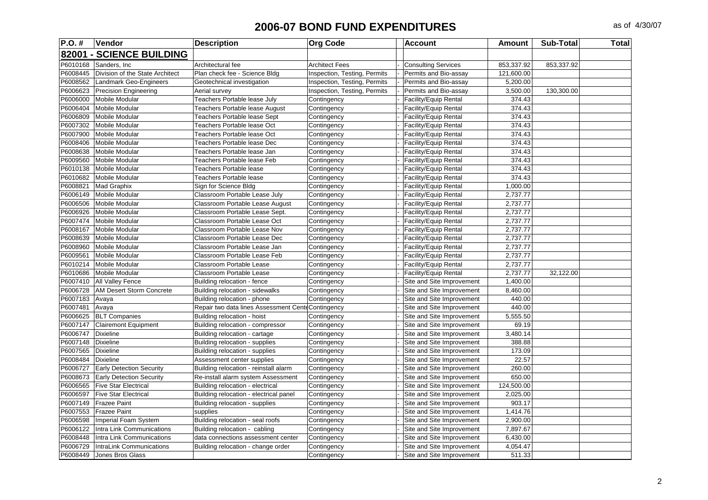| <b>P.O.#</b> | Vendor                          | <b>Description</b>                                 | <b>Org Code</b>              | <b>Account</b>             | <b>Amount</b> | <b>Sub-Total</b> | Total |
|--------------|---------------------------------|----------------------------------------------------|------------------------------|----------------------------|---------------|------------------|-------|
|              | 82001 - SCIENCE BUILDING        |                                                    |                              |                            |               |                  |       |
| P6010168     | Sanders, Inc.                   | Architectural fee                                  | <b>Architect Fees</b>        | <b>Consulting Services</b> | 853,337.92    | 853,337.92       |       |
| P6008445     | Division of the State Architect | Plan check fee - Science Bldg                      | Inspection, Testing, Permits | Permits and Bio-assay      | 121,600.00    |                  |       |
| P6008562     | Landmark Geo-Engineers          | Geotechnical investigation                         | Inspection, Testing, Permits | Permits and Bio-assay      | 5,200.00      |                  |       |
| P6006623     | <b>Precision Engineering</b>    | Aerial survey                                      | Inspection, Testing, Permits | Permits and Bio-assay      | 3,500.00      | 130,300.00       |       |
| P6006000     | Mobile Modular                  | Teachers Portable lease July                       | Contingency                  | Facility/Equip Rental      | 374.43        |                  |       |
| P6006404     | Mobile Modular                  | Teachers Portable lease August                     | Contingency                  | Facility/Equip Rental      | 374.43        |                  |       |
| P6006809     | <b>Mobile Modular</b>           | Teachers Portable lease Sept                       | Contingency                  | Facility/Equip Rental      | 374.43        |                  |       |
| P6007302     | Mobile Modular                  | Teachers Portable lease Oct                        | Contingency                  | Facility/Equip Rental      | 374.43        |                  |       |
| P6007900     | <b>Mobile Modular</b>           | Teachers Portable lease Oct                        | Contingency                  | Facility/Equip Rental      | 374.43        |                  |       |
| P6008406     | Mobile Modular                  | Teachers Portable lease Dec                        | Contingency                  | Facility/Equip Rental      | 374.43        |                  |       |
| P6008638     | Mobile Modular                  | Teachers Portable lease Jan                        | Contingency                  | Facility/Equip Rental      | 374.43        |                  |       |
| P6009560     | Mobile Modular                  | Teachers Portable lease Feb                        | Contingency                  | Facility/Equip Rental      | 374.43        |                  |       |
| P6010138     | Mobile Modular                  | <b>Teachers Portable lease</b>                     | Contingency                  | Facility/Equip Rental      | 374.43        |                  |       |
| P6010682     | Mobile Modular                  | <b>Teachers Portable lease</b>                     | Contingency                  | Facility/Equip Rental      | 374.43        |                  |       |
| P6008821     | Mad Graphix                     | Sign for Science Bldg                              | Contingency                  | Facility/Equip Rental      | 1,000.00      |                  |       |
| P6006149     | Mobile Modular                  | Classroom Portable Lease July                      | Contingency                  | Facility/Equip Rental      | 2,737.77      |                  |       |
| P6006506     | Mobile Modular                  | Classroom Portable Lease August                    | Contingency                  | Facility/Equip Rental      | 2,737.77      |                  |       |
| P6006926     | Mobile Modular                  | Classroom Portable Lease Sept.                     | Contingency                  | Facility/Equip Rental      | 2,737.77      |                  |       |
| P6007474     | <b>Mobile Modular</b>           | Classroom Portable Lease Oct                       | Contingency                  | Facility/Equip Rental      | 2,737.77      |                  |       |
| P6008167     | <b>Mobile Modular</b>           | Classroom Portable Lease Nov                       | Contingency                  | Facility/Equip Rental      | 2,737.77      |                  |       |
| P6008639     | <b>Mobile Modular</b>           | Classroom Portable Lease Dec                       | Contingency                  | Facility/Equip Rental      | 2,737.77      |                  |       |
| P6008960     | Mobile Modular                  | Classroom Portable Lease Jan                       | Contingency                  | Facility/Equip Rental      | 2,737.77      |                  |       |
| P6009561     | Mobile Modular                  | Classroom Portable Lease Feb                       | Contingency                  | Facility/Equip Rental      | 2,737.77      |                  |       |
| P6010214     | Mobile Modular                  | Classroom Portable Lease                           | Contingency                  | Facility/Equip Rental      | 2,737.77      |                  |       |
| P6010686     | Mobile Modular                  | Classroom Portable Lease                           | Contingency                  | Facility/Equip Rental      | 2,737.77      | 32,122.00        |       |
| P6007410     | <b>All Valley Fence</b>         | Building relocation - fence                        | Contingency                  | Site and Site Improvement  | 1,400.00      |                  |       |
| P6006728     | AM Desert Storm Concrete        | Building relocation - sidewalks                    | Contingency                  | Site and Site Improvement  | 8,460.00      |                  |       |
| P6007183     | Avaya                           | Building relocation - phone                        | Contingency                  | Site and Site Improvement  | 440.00        |                  |       |
| P6007481     | Avaya                           | Repair two data lines Assessment Cente Contingency |                              | Site and Site Improvement  | 440.00        |                  |       |
| P6006625     | <b>BLT Companies</b>            | Building relocation - hoist                        | Contingency                  | Site and Site Improvement  | 5,555.50      |                  |       |
| P6007147     | <b>Clairemont Equipment</b>     | Building relocation - compressor                   | Contingency                  | Site and Site Improvement  | 69.19         |                  |       |
| P6006747     | <b>Dixieline</b>                | Building relocation - cartage                      | Contingency                  | Site and Site Improvement  | 3,480.14      |                  |       |
| P6007148     | <b>Dixieline</b>                | Building relocation - supplies                     | Contingency                  | Site and Site Improvement  | 388.88        |                  |       |
| P6007565     | Dixieline                       | Building relocation - supplies                     | Contingency                  | Site and Site Improvement  | 173.09        |                  |       |
| P6008484     | <b>Dixieline</b>                | Assessment center supplies                         | Contingency                  | Site and Site Improvement  | 22.57         |                  |       |
| P6006727     | <b>Early Detection Security</b> | Building relocation - reinstall alarm              | Contingency                  | Site and Site Improvement  | 260.00        |                  |       |
| P6008673     | <b>Early Detection Security</b> | Re-install alarm system Assessment                 | Contingency                  | Site and Site Improvement  | 650.00        |                  |       |
| P6006565     | <b>Five Star Electrical</b>     | Building relocation - electrical                   | Contingency                  | Site and Site Improvement  | 124,500.00    |                  |       |
| P6006597     | <b>Five Star Electrical</b>     | Building relocation - electrical panel             | Contingency                  | Site and Site Improvement  | 2,025.00      |                  |       |
| P6007149     | <b>Frazee Paint</b>             | Building relocation - supplies                     | Contingency                  | Site and Site Improvement  | 903.17        |                  |       |
| P6007553     | <b>Frazee Paint</b>             | supplies                                           | Contingency                  | Site and Site Improvement  | 1,414.76      |                  |       |
| P6006598     | Imperial Foam System            | Building relocation - seal roofs                   | Contingency                  | Site and Site Improvement  | 2,900.00      |                  |       |
| P6006122     | Intra Link Communications       | Building relocation - cabling                      | Contingency                  | Site and Site Improvement  | 7,897.67      |                  |       |
| P6008448     | Intra Link Communications       | data connections assessment center                 | Contingency                  | Site and Site Improvement  | 6,430.00      |                  |       |
| P6006729     | IntraLink Communications        | Building relocation - change order                 | Contingency                  | Site and Site Improvement  | 4,054.47      |                  |       |
| P6008449     | Jones Bros Glass                |                                                    | Contingency                  | Site and Site Improvement  | 511.33        |                  |       |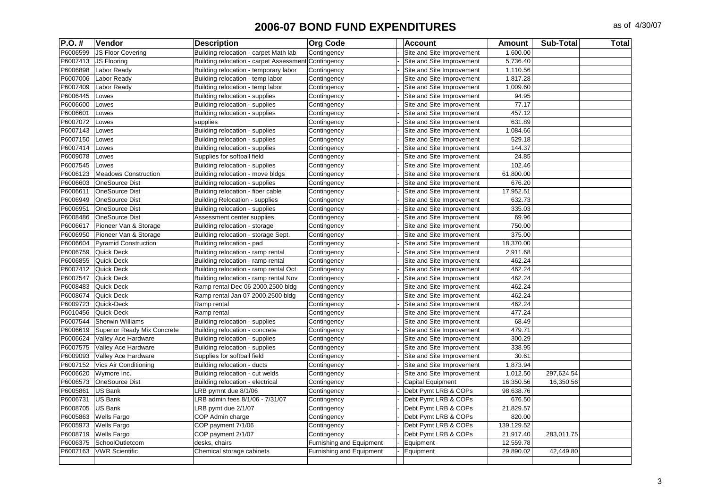| P.O. #   | <b>Vendor</b>               | <b>Description</b>                                  | <b>Org Code</b>          | <b>Account</b>            | <b>Amount</b> | <b>Sub-Total</b> | <b>Total</b> |
|----------|-----------------------------|-----------------------------------------------------|--------------------------|---------------------------|---------------|------------------|--------------|
| P6006599 | JS Floor Covering           | Building relocation - carpet Math lab               | Contingency              | Site and Site Improvement | 1,600.00      |                  |              |
| P6007413 | <b>JS Flooring</b>          | Building relocation - carpet Assessment Contingency |                          | Site and Site Improvement | 5,736.40      |                  |              |
| P6006898 | Labor Ready                 | Building relocation - temporary labor               | Contingency              | Site and Site Improvement | 1,110.56      |                  |              |
| P6007006 | Labor Ready                 | Building relocation - temp labor                    | Contingency              | Site and Site Improvement | 1,817.28      |                  |              |
| P6007409 | Labor Ready                 | Building relocation - temp labor                    | Contingency              | Site and Site Improvement | 1,009.60      |                  |              |
| P6006445 | Lowes                       | Building relocation - supplies                      | Contingency              | Site and Site Improvement | 94.95         |                  |              |
| P6006600 | Lowes                       | Building relocation - supplies                      | Contingency              | Site and Site Improvement | 77.17         |                  |              |
| P6006601 | Lowes                       | Building relocation - supplies                      | Contingency              | Site and Site Improvement | 457.12        |                  |              |
| P6007072 | Lowes                       | supplies                                            | Contingency              | Site and Site Improvement | 631.89        |                  |              |
| P6007143 | Lowes                       | Building relocation - supplies                      | Contingency              | Site and Site Improvement | 1,084.66      |                  |              |
| P6007150 | Lowes                       | Building relocation - supplies                      | Contingency              | Site and Site Improvement | 529.18        |                  |              |
| P6007414 | Lowes                       | Building relocation - supplies                      | Contingency              | Site and Site Improvement | 144.37        |                  |              |
| P6009078 | Lowes                       | Supplies for softball field                         | Contingency              | Site and Site Improvement | 24.85         |                  |              |
| P6007545 | Lowes                       | Building relocation - supplies                      | Contingency              | Site and Site Improvement | 102.46        |                  |              |
| P6006123 | <b>Meadows Construction</b> | Building relocation - move bldgs                    | Contingency              | Site and Site Improvement | 61,800.00     |                  |              |
| P6006603 | <b>OneSource Dist</b>       | Building relocation - supplies                      | Contingency              | Site and Site Improvement | 676.20        |                  |              |
| P6006611 | <b>OneSource Dist</b>       | Building relocation - fiber cable                   | Contingency              | Site and Site Improvement | 17,952.51     |                  |              |
| P6006949 | <b>OneSource Dist</b>       | <b>Building Relocation - supplies</b>               | Contingency              | Site and Site Improvement | 632.73        |                  |              |
| P6006951 | <b>OneSource Dist</b>       | Building relocation - supplies                      | Contingency              | Site and Site Improvement | 335.03        |                  |              |
| P6008486 | <b>OneSource Dist</b>       | Assessment center supplies                          | Contingency              | Site and Site Improvement | 69.96         |                  |              |
| P6006617 | Pioneer Van & Storage       | Building relocation - storage                       | Contingency              | Site and Site Improvement | 750.00        |                  |              |
| P6006950 | Pioneer Van & Storage       | Building relocation - storage Sept.                 | Contingency              | Site and Site Improvement | 375.00        |                  |              |
| P6006604 | <b>Pyramid Construction</b> | Building relocation - pad                           | Contingency              | Site and Site Improvement | 18,370.00     |                  |              |
| P6006759 | Quick Deck                  | Building relocation - ramp rental                   | Contingency              | Site and Site Improvement | 2,911.68      |                  |              |
| P6006855 | Quick Deck                  | Building relocation - ramp rental                   | Contingency              | Site and Site Improvement | 462.24        |                  |              |
| P6007412 | <b>Quick Deck</b>           | Building relocation - ramp rental Oct               | Contingency              | Site and Site Improvement | 462.24        |                  |              |
| P6007547 | <b>Quick Deck</b>           | Building relocation - ramp rental Nov               | Contingency              | Site and Site Improvement | 462.24        |                  |              |
| P6008483 | Quick Deck                  | Ramp rental Dec 06 2000,2500 bldg                   | Contingency              | Site and Site Improvement | 462.24        |                  |              |
| P6008674 | Quick Deck                  | Ramp rental Jan 07 2000,2500 bldg                   | Contingency              | Site and Site Improvement | 462.24        |                  |              |
| P6009723 | Quick-Deck                  | Ramp rental                                         | Contingency              | Site and Site Improvement | 462.24        |                  |              |
| P6010456 | Quick-Deck                  | Ramp rental                                         | Contingency              | Site and Site Improvement | 477.24        |                  |              |
| P6007544 | <b>Sherwin Williams</b>     | Building relocation - supplies                      | Contingency              | Site and Site Improvement | 68.49         |                  |              |
| P6006619 | Superior Ready Mix Concrete | Building relocation - concrete                      | Contingency              | Site and Site Improvement | 479.71        |                  |              |
| P6006624 | Valley Ace Hardware         | Building relocation - supplies                      | Contingency              | Site and Site Improvement | 300.29        |                  |              |
| P6007575 | Valley Ace Hardware         | Building relocation - supplies                      | Contingency              | Site and Site Improvement | 338.95        |                  |              |
| P6009093 | Valley Ace Hardware         | Supplies for softball field                         | Contingency              | Site and Site Improvement | 30.61         |                  |              |
| P6007152 | Vics Air Conditioning       | Building relocation - ducts                         | Contingency              | Site and Site Improvement | 1,873.94      |                  |              |
| P6006620 | Wymore Inc.                 | Building relocation - cut welds                     | Contingency              | Site and Site Improvement | 1,012.50      | 297,624.54       |              |
| P6006573 | <b>OneSource Dist</b>       | Building relocation - electrical                    | Contingency              | <b>Capital Equipment</b>  | 16,350.56     | 16,350.56        |              |
| P6005861 | <b>US Bank</b>              | LRB pymnt due 8/1/06                                | Contingency              | Debt Pymt LRB & COPs      | 98,638.76     |                  |              |
| P6006731 | <b>US Bank</b>              | LRB admin fees 8/1/06 - 7/31/07                     | Contingency              | Debt Pymt LRB & COPs      | 676.50        |                  |              |
| P6008705 | <b>US Bank</b>              | LRB pymt due 2/1/07                                 | Contingency              | Debt Pymt LRB & COPs      | 21,829.57     |                  |              |
| P6005863 | <b>Wells Fargo</b>          | COP Admin charge                                    | Contingency              | Debt Pymt LRB & COPs      | 820.00        |                  |              |
| P6005973 | <b>Wells Fargo</b>          | COP payment 7/1/06                                  | Contingency              | Debt Pymt LRB & COPs      | 139,129.52    |                  |              |
| P6008719 | <b>Wells Fargo</b>          | COP payment 2/1/07                                  | Contingency              | Debt Pymt LRB & COPs      | 21,917.40     | 283,011.75       |              |
| P6006375 | SchoolOutletcom             | desks, chairs                                       | Furnishing and Equipment | Equipment                 | 12,559.78     |                  |              |
| P6007163 | <b>VWR Scientific</b>       | Chemical storage cabinets                           | Furnishing and Equipment | Equipment                 | 29,890.02     | 42,449.80        |              |
|          |                             |                                                     |                          |                           |               |                  |              |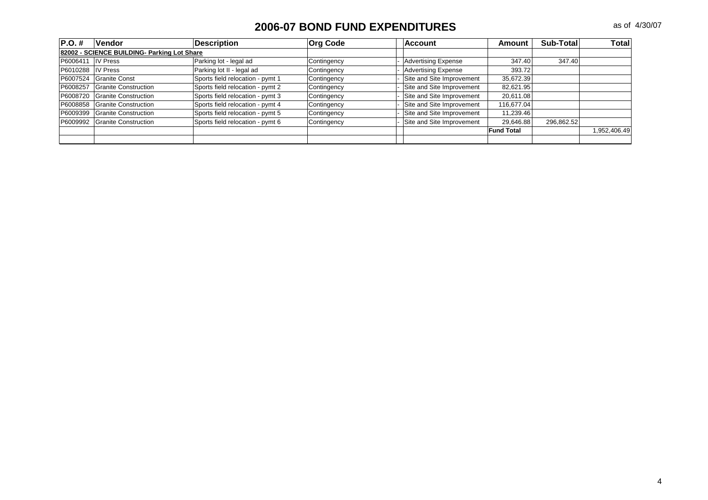| IP.O. #  | <b>Vendor</b>                               | <b>Description</b>               | <b>Org Code</b> | <b>Account</b>             | Amount            | Sub-Total  | Totall       |
|----------|---------------------------------------------|----------------------------------|-----------------|----------------------------|-------------------|------------|--------------|
|          | 82002 - SCIENCE BUILDING- Parking Lot Share |                                  |                 |                            |                   |            |              |
| P6006411 | <b>IV Press</b>                             | Parking lot - legal ad           | Contingency     | <b>Advertising Expense</b> | 347.40            | 347.40     |              |
| P6010288 | <b>IV Press</b>                             | Parking lot II - legal ad        | Contingency     | <b>Advertising Expense</b> | 393.72            |            |              |
| P6007524 | <b>Granite Const</b>                        | Sports field relocation - pymt 1 | Contingency     | Site and Site Improvement  | 35,672.39         |            |              |
| P6008257 | <b>Granite Construction</b>                 | Sports field relocation - pymt 2 | Contingency     | Site and Site Improvement  | 82,621.95         |            |              |
| P6008720 | Granite Construction                        | Sports field relocation - pymt 3 | Contingency     | Site and Site Improvement  | 20,611.08         |            |              |
| P6008858 | <b>Granite Construction</b>                 | Sports field relocation - pymt 4 | Contingency     | Site and Site Improvement  | 116.677.04        |            |              |
| P6009399 | Granite Construction                        | Sports field relocation - pymt 5 | Contingency     | Site and Site Improvement  | 11,239.46         |            |              |
| P6009992 | Granite Construction                        | Sports field relocation - pymt 6 | Contingency     | Site and Site Improvement  | 29,646.88         | 296,862.52 |              |
|          |                                             |                                  |                 |                            | <b>Fund Total</b> |            | 1,952,406.49 |
|          |                                             |                                  |                 |                            |                   |            |              |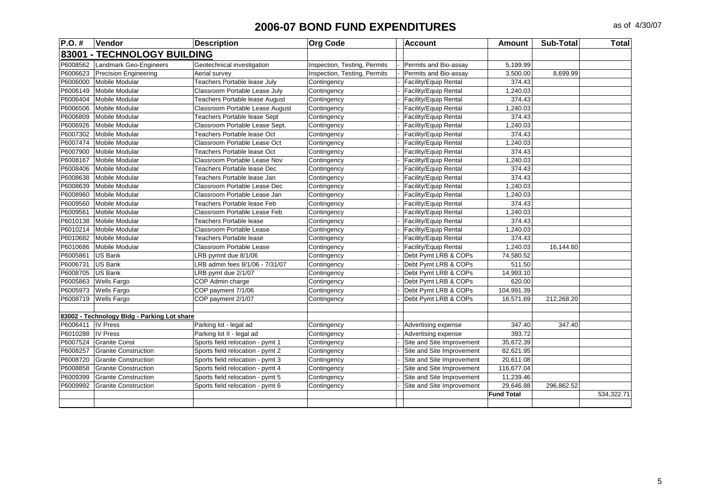| $P.O.$ # | Vendor                                      | <b>Description</b>                    | <b>Org Code</b>              | <b>Account</b>            | <b>Amount</b>     | <b>Sub-Total</b> | <b>Total</b> |
|----------|---------------------------------------------|---------------------------------------|------------------------------|---------------------------|-------------------|------------------|--------------|
|          | 83001 - TECHNOLOGY BUILDING                 |                                       |                              |                           |                   |                  |              |
| P6008562 | Landmark Geo-Engineers                      | Geotechnical investigation            | Inspection, Testing, Permits | Permits and Bio-assay     | 5,199.99          |                  |              |
| P6006623 | <b>Precision Engineering</b>                | Aerial survey                         | Inspection, Testing, Permits | Permits and Bio-assay     | 3,500.00          | 8,699.99         |              |
| P6006000 | Mobile Modular                              | Teachers Portable lease July          | Contingency                  | Facility/Equip Rental     | 374.43            |                  |              |
| P6006149 | Mobile Modular                              | Classroom Portable Lease July         | Contingency                  | Facility/Equip Rental     | 1,240.03          |                  |              |
| P6006404 | <b>Mobile Modular</b>                       | <b>Teachers Portable lease August</b> | Contingency                  | Facility/Equip Rental     | 374.43            |                  |              |
| P6006506 | <b>Mobile Modular</b>                       | Classroom Portable Lease August       | Contingency                  | Facility/Equip Rental     | 1,240.03          |                  |              |
| P6006809 | <b>Mobile Modular</b>                       | Teachers Portable lease Sept          | Contingency                  | Facility/Equip Rental     | 374.43            |                  |              |
| P6006926 | <b>Mobile Modular</b>                       | Classroom Portable Lease Sept.        | Contingency                  | Facility/Equip Rental     | 1,240.03          |                  |              |
| P6007302 | <b>Mobile Modular</b>                       | Teachers Portable lease Oct           | Contingency                  | Facility/Equip Rental     | 374.43            |                  |              |
| P6007474 | <b>Mobile Modular</b>                       | Classroom Portable Lease Oct          | Contingency                  | Facility/Equip Rental     | 1,240.03          |                  |              |
| P6007900 | <b>Mobile Modular</b>                       | Teachers Portable lease Oct           | Contingency                  | Facility/Equip Rental     | 374.43            |                  |              |
| P6008167 | <b>Mobile Modular</b>                       | Classroom Portable Lease Nov          | Contingency                  | Facility/Equip Rental     | 1,240.03          |                  |              |
| P6008406 | <b>Mobile Modular</b>                       | Teachers Portable lease Dec           | Contingency                  | Facility/Equip Rental     | 374.43            |                  |              |
| P6008638 | Mobile Modular                              | Teachers Portable lease Jan           | Contingency                  | Facility/Equip Rental     | 374.43            |                  |              |
| P6008639 | <b>Mobile Modular</b>                       | Classroom Portable Lease Dec          | Contingency                  | Facility/Equip Rental     | 1,240.03          |                  |              |
| P6008960 | <b>Mobile Modular</b>                       | Classroom Portable Lease Jan          | Contingency                  | Facility/Equip Rental     | 1,240.03          |                  |              |
| P6009560 | Mobile Modular                              | Teachers Portable lease Feb           | Contingency                  | Facility/Equip Rental     | 374.43            |                  |              |
| P6009561 | <b>Mobile Modular</b>                       | Classroom Portable Lease Feb          | Contingency                  | Facility/Equip Rental     | 1,240.03          |                  |              |
| P6010138 | <b>Mobile Modular</b>                       | Teachers Portable lease               | Contingency                  | Facility/Equip Rental     | 374.43            |                  |              |
| P6010214 | <b>Mobile Modular</b>                       | Classroom Portable Lease              | Contingency                  | Facility/Equip Rental     | 1,240.03          |                  |              |
| P6010682 | Mobile Modular                              | Teachers Portable lease               | Contingency                  | Facility/Equip Rental     | 374.43            |                  |              |
| P6010686 | <b>Mobile Modular</b>                       | Classroom Portable Lease              | Contingency                  | Facility/Equip Rental     | 1,240.03          | 16,144.60        |              |
| P6005861 | <b>US Bank</b>                              | LRB pymnt due 8/1/06                  | Contingency                  | Debt Pymt LRB & COPs      | 74,580.52         |                  |              |
| P6006731 | <b>US Bank</b>                              | LRB admin fees 8/1/06 - 7/31/07       | Contingency                  | Debt Pymt LRB & COPs      | 511.50            |                  |              |
| P6008705 | <b>US Bank</b>                              | LRB pymt due 2/1/07                   | Contingency                  | Debt Pymt LRB & COPs      | 14,993.10         |                  |              |
| P6005863 | <b>Wells Fargo</b>                          | COP Admin charge                      | Contingency                  | Debt Pymt LRB & COPs      | 620.00            |                  |              |
| P6005973 | <b>Wells Fargo</b>                          | COP payment 7/1/06                    | Contingency                  | Debt Pymt LRB & COPs      | 104,991.39        |                  |              |
| P6008719 | <b>Wells Fargo</b>                          | COP payment 2/1/07                    | Contingency                  | Debt Pymt LRB & COPs      | 16,571.69         | 212,268.20       |              |
|          |                                             |                                       |                              |                           |                   |                  |              |
|          | 83002 - Technology Bldg - Parking Lot share |                                       |                              |                           |                   |                  |              |
| P6006411 | <b>IV Press</b>                             | Parking lot - legal ad                | Contingency                  | Advertising expense       | 347.40            | 347.40           |              |
| P6010288 | <b>IV Press</b>                             | Parking lot II - legal ad             | Contingency                  | Advertising expense       | 393.72            |                  |              |
| P6007524 | <b>Granite Const</b>                        | Sports field relocation - pymt 1      | Contingency                  | Site and Site Improvement | 35,672.39         |                  |              |
| P6008257 | <b>Granite Construction</b>                 | Sports field relocation - pymt 2      | Contingency                  | Site and Site Improvement | 82,621.95         |                  |              |
| P6008720 | <b>Granite Construction</b>                 | Sports field relocation - pymt 3      | Contingency                  | Site and Site Improvement | 20,611.08         |                  |              |
| P6008858 | <b>Granite Construction</b>                 | Sports field relocation - pymt 4      | Contingency                  | Site and Site Improvement | 116,677.04        |                  |              |
| P6009399 | <b>Granite Construction</b>                 | Sports field relocation - pymt 5      | Contingency                  | Site and Site Improvement | 11,239.46         |                  |              |
| P6009992 | <b>Granite Construction</b>                 | Sports field relocation - pymt 6      | Contingency                  | Site and Site Improvement | 29,646.88         | 296,862.52       |              |
|          |                                             |                                       |                              |                           | <b>Fund Total</b> |                  | 534,322.71   |
|          |                                             |                                       |                              |                           |                   |                  |              |